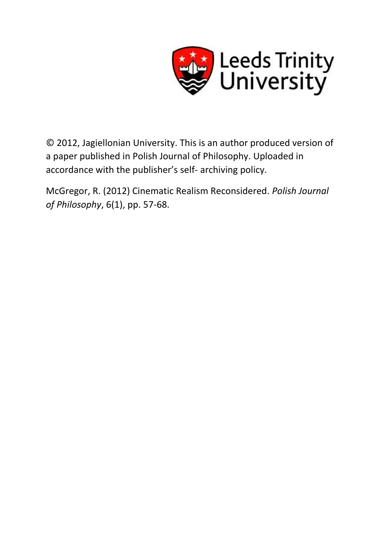

© 2012, Jagiellonian University. This is an author produced version of a paper published in Polish Journal of Philosophy. Uploaded in accordance with the publisher's self- archiving policy.

McGregor, R. (2012) Cinematic Realism Reconsidered. *Polish Journal of Philosophy*, 6(1), pp. 57-68.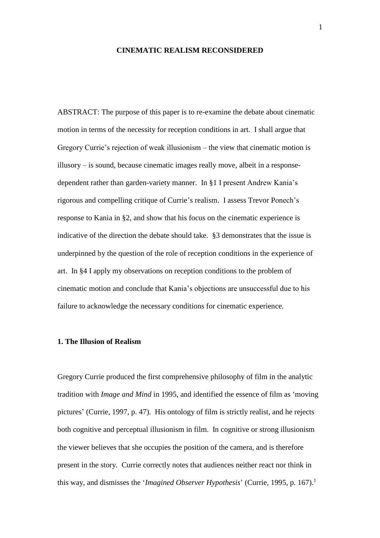### **CINEMATIC REALISM RECONSIDERED**

ABSTRACT: The purpose of this paper is to re-examine the debate about cinematic motion in terms of the necessity for reception conditions in art. I shall argue that Gregory Currie's rejection of weak illusionism – the view that cinematic motion is illusory – is sound, because cinematic images really move, albeit in a responsedependent rather than garden-variety manner. In §1 I present Andrew Kania's rigorous and compelling critique of Currie's realism. I assess Trevor Ponech's response to Kania in §2, and show that his focus on the cinematic experience is indicative of the direction the debate should take. §3 demonstrates that the issue is underpinned by the question of the role of reception conditions in the experience of art. In §4 I apply my observations on reception conditions to the problem of cinematic motion and conclude that Kania's objections are unsuccessful due to his failure to acknowledge the necessary conditions for cinematic experience.

# **1. The Illusion of Realism**

Gregory Currie produced the first comprehensive philosophy of film in the analytic tradition with *Image and Mind* in 1995, and identified the essence of film as 'moving pictures' (Currie, 1997, p. 47). His ontology of film is strictly realist, and he rejects both cognitive and perceptual illusionism in film. In cognitive or strong illusionism the viewer believes that she occupies the position of the camera, and is therefore present in the story. Currie correctly notes that audiences neither react nor think in this way, and dismisses the '*Imagined Observer Hypothesis*' (Currie, 1995, p. 167).<sup>1</sup>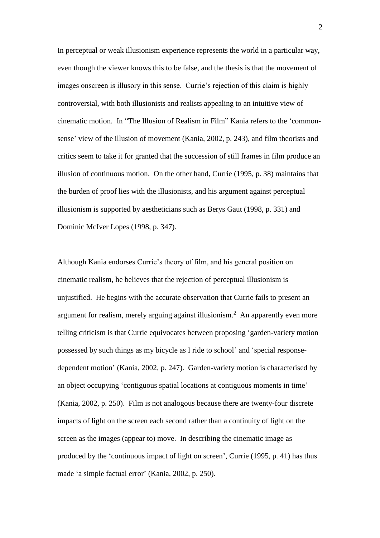In perceptual or weak illusionism experience represents the world in a particular way, even though the viewer knows this to be false, and the thesis is that the movement of images onscreen is illusory in this sense. Currie's rejection of this claim is highly controversial, with both illusionists and realists appealing to an intuitive view of cinematic motion. In "The Illusion of Realism in Film" Kania refers to the 'commonsense' view of the illusion of movement (Kania, 2002, p. 243), and film theorists and critics seem to take it for granted that the succession of still frames in film produce an illusion of continuous motion. On the other hand, Currie (1995, p. 38) maintains that the burden of proof lies with the illusionists, and his argument against perceptual illusionism is supported by aestheticians such as Berys Gaut (1998, p. 331) and Dominic McIver Lopes (1998, p. 347).

Although Kania endorses Currie's theory of film, and his general position on cinematic realism, he believes that the rejection of perceptual illusionism is unjustified. He begins with the accurate observation that Currie fails to present an argument for realism, merely arguing against illusionism.<sup>2</sup> An apparently even more telling criticism is that Currie equivocates between proposing 'garden-variety motion possessed by such things as my bicycle as I ride to school' and 'special responsedependent motion' (Kania, 2002, p. 247). Garden-variety motion is characterised by an object occupying 'contiguous spatial locations at contiguous moments in time' (Kania, 2002, p. 250). Film is not analogous because there are twenty-four discrete impacts of light on the screen each second rather than a continuity of light on the screen as the images (appear to) move. In describing the cinematic image as produced by the 'continuous impact of light on screen', Currie (1995, p. 41) has thus made 'a simple factual error' (Kania, 2002, p. 250).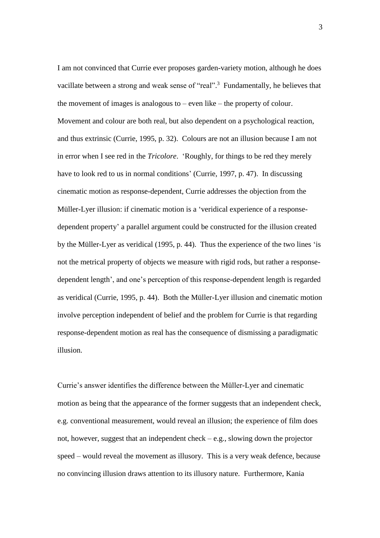I am not convinced that Currie ever proposes garden-variety motion, although he does vacillate between a strong and weak sense of "real".<sup>3</sup> Fundamentally, he believes that the movement of images is analogous to  $-$  even like  $-$  the property of colour. Movement and colour are both real, but also dependent on a psychological reaction, and thus extrinsic (Currie, 1995, p. 32). Colours are not an illusion because I am not in error when I see red in the *Tricolore*. 'Roughly, for things to be red they merely have to look red to us in normal conditions' (Currie, 1997, p. 47). In discussing cinematic motion as response-dependent, Currie addresses the objection from the Müller-Lyer illusion: if cinematic motion is a 'veridical experience of a responsedependent property' a parallel argument could be constructed for the illusion created by the Müller-Lyer as veridical (1995, p. 44). Thus the experience of the two lines 'is not the metrical property of objects we measure with rigid rods, but rather a responsedependent length', and one's perception of this response-dependent length is regarded as veridical (Currie, 1995, p. 44). Both the Müller-Lyer illusion and cinematic motion involve perception independent of belief and the problem for Currie is that regarding response-dependent motion as real has the consequence of dismissing a paradigmatic illusion.

Currie's answer identifies the difference between the Müller-Lyer and cinematic motion as being that the appearance of the former suggests that an independent check, e.g. conventional measurement, would reveal an illusion; the experience of film does not, however, suggest that an independent check – e.g., slowing down the projector speed – would reveal the movement as illusory. This is a very weak defence, because no convincing illusion draws attention to its illusory nature. Furthermore, Kania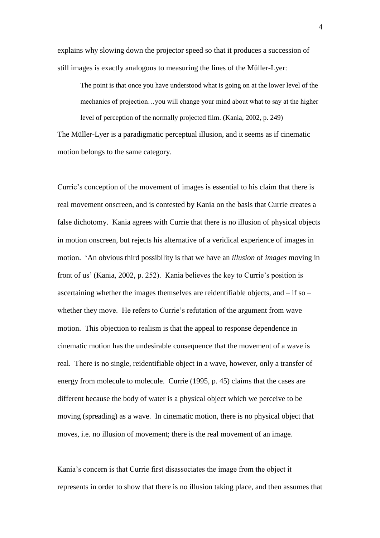explains why slowing down the projector speed so that it produces a succession of still images is exactly analogous to measuring the lines of the Müller-Lyer:

The point is that once you have understood what is going on at the lower level of the mechanics of projection…you will change your mind about what to say at the higher level of perception of the normally projected film. (Kania, 2002, p. 249)

The Müller-Lyer is a paradigmatic perceptual illusion, and it seems as if cinematic motion belongs to the same category.

Currie's conception of the movement of images is essential to his claim that there is real movement onscreen, and is contested by Kania on the basis that Currie creates a false dichotomy. Kania agrees with Currie that there is no illusion of physical objects in motion onscreen, but rejects his alternative of a veridical experience of images in motion. 'An obvious third possibility is that we have an *illusion* of *images* moving in front of us' (Kania, 2002, p. 252). Kania believes the key to Currie's position is ascertaining whether the images themselves are reidentifiable objects, and – if so – whether they move. He refers to Currie's refutation of the argument from wave motion. This objection to realism is that the appeal to response dependence in cinematic motion has the undesirable consequence that the movement of a wave is real. There is no single, reidentifiable object in a wave, however, only a transfer of energy from molecule to molecule. Currie (1995, p. 45) claims that the cases are different because the body of water is a physical object which we perceive to be moving (spreading) as a wave. In cinematic motion, there is no physical object that moves, i.e. no illusion of movement; there is the real movement of an image.

Kania's concern is that Currie first disassociates the image from the object it represents in order to show that there is no illusion taking place, and then assumes that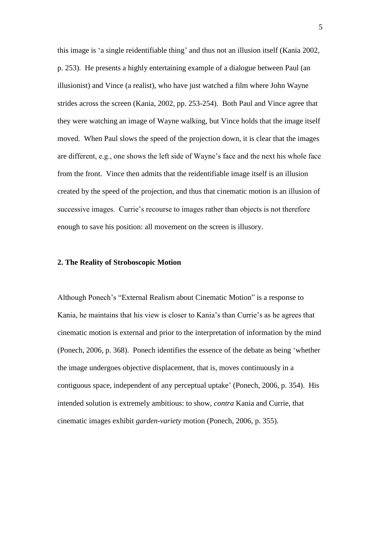this image is 'a single reidentifiable thing' and thus not an illusion itself (Kania 2002, p. 253). He presents a highly entertaining example of a dialogue between Paul (an illusionist) and Vince (a realist), who have just watched a film where John Wayne strides across the screen (Kania, 2002, pp. 253-254). Both Paul and Vince agree that they were watching an image of Wayne walking, but Vince holds that the image itself moved. When Paul slows the speed of the projection down, it is clear that the images are different, e.g., one shows the left side of Wayne's face and the next his whole face from the front. Vince then admits that the reidentifiable image itself is an illusion created by the speed of the projection, and thus that cinematic motion is an illusion of successive images. Currie's recourse to images rather than objects is not therefore enough to save his position: all movement on the screen is illusory.

# **2. The Reality of Stroboscopic Motion**

Although Ponech's "External Realism about Cinematic Motion" is a response to Kania, he maintains that his view is closer to Kania's than Currie's as he agrees that cinematic motion is external and prior to the interpretation of information by the mind (Ponech, 2006, p. 368). Ponech identifies the essence of the debate as being 'whether the image undergoes objective displacement, that is, moves continuously in a contiguous space, independent of any perceptual uptake' (Ponech, 2006, p. 354). His intended solution is extremely ambitious: to show, *contra* Kania and Currie, that cinematic images exhibit *garden-variety* motion (Ponech, 2006, p. 355).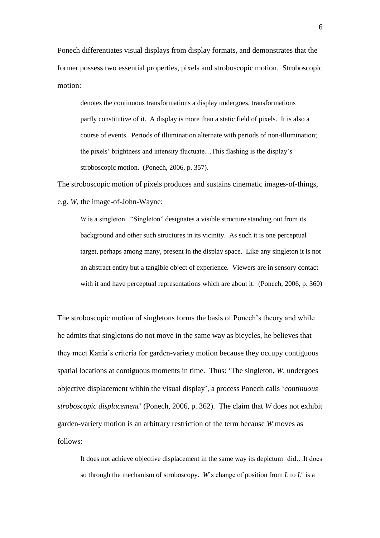Ponech differentiates visual displays from display formats, and demonstrates that the former possess two essential properties, pixels and stroboscopic motion. Stroboscopic motion:

denotes the continuous transformations a display undergoes, transformations partly constitutive of it. A display is more than a static field of pixels. It is also a course of events. Periods of illumination alternate with periods of non-illumination; the pixels' brightness and intensity fluctuate…This flashing is the display's stroboscopic motion. (Ponech, 2006, p. 357).

The stroboscopic motion of pixels produces and sustains cinematic images-of-things, e.g. *W*, the image-of-John-Wayne:

*W* is a singleton. "Singleton" designates a visible structure standing out from its background and other such structures in its vicinity. As such it is one perceptual target, perhaps among many, present in the display space. Like any singleton it is not an abstract entity but a tangible object of experience. Viewers are in sensory contact with it and have perceptual representations which are about it. (Ponech, 2006, p. 360)

The stroboscopic motion of singletons forms the basis of Ponech's theory and while he admits that singletons do not move in the same way as bicycles, he believes that they meet Kania's criteria for garden-variety motion because they occupy contiguous spatial locations at contiguous moments in time. Thus: 'The singleton, *W*, undergoes objective displacement within the visual display', a process Ponech calls '*continuous stroboscopic displacement*' (Ponech, 2006, p. 362). The claim that *W* does not exhibit garden-variety motion is an arbitrary restriction of the term because *W* moves as follows:

It does not achieve objective displacement in the same way its depictum did…It does so through the mechanism of stroboscopy. *W*'s change of position from *L* to  $L^n$  is a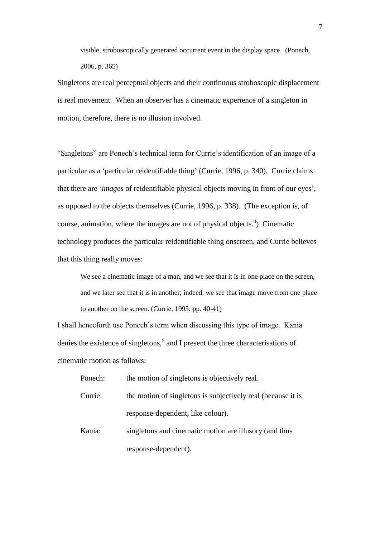visible, stroboscopically generated occurrent event in the display space. (Ponech, 2006, p. 365)

Singletons are real perceptual objects and their continuous stroboscopic displacement is real movement. When an observer has a cinematic experience of a singleton in motion, therefore, there is no illusion involved.

"Singletons" are Ponech's technical term for Currie's identification of an image of a particular as a 'particular reidentifiable thing' (Currie, 1996, p. 340). Currie claims that there are '*images* of reidentifiable physical objects moving in front of our eyes', as opposed to the objects themselves (Currie, 1996, p. 338). (The exception is, of course, animation, where the images are not of physical objects.<sup>4</sup>) Cinematic technology produces the particular reidentifiable thing onscreen, and Currie believes that this thing really moves:

We see a cinematic image of a man, and we see that it is in one place on the screen, and we later see that it is in another; indeed, we see that image move from one place to another on the screen. (Currie, 1995: pp. 40-41)

I shall henceforth use Ponech's term when discussing this type of image. Kania denies the existence of singletons,<sup>5</sup> and I present the three characterisations of cinematic motion as follows:

Ponech: the motion of singletons is objectively real. Currie: the motion of singletons is subjectively real (because it is response-dependent, like colour).

Kania: singletons and cinematic motion are illusory (and thus response-dependent).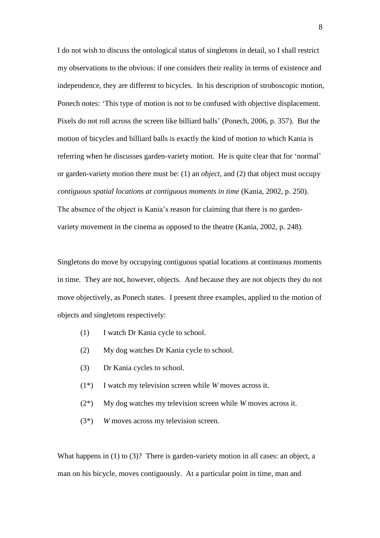I do not wish to discuss the ontological status of singletons in detail, so I shall restrict my observations to the obvious: if one considers their reality in terms of existence and independence, they are different to bicycles. In his description of stroboscopic motion, Ponech notes: 'This type of motion is not to be confused with objective displacement. Pixels do not roll across the screen like billiard balls' (Ponech, 2006, p. 357). But the motion of bicycles and billiard balls is exactly the kind of motion to which Kania is referring when he discusses garden-variety motion. He is quite clear that for 'normal' or garden-variety motion there must be: (1) an *object*, and (2) that object must occupy *contiguous spatial locations at contiguous moments in time* (Kania, 2002, p. 250). The absence of the object is Kania's reason for claiming that there is no garden-

variety movement in the cinema as opposed to the theatre (Kania, 2002, p. 248).

Singletons do move by occupying contiguous spatial locations at continuous moments in time. They are not, however, objects. And because they are not objects they do not move objectively, as Ponech states. I present three examples, applied to the motion of objects and singletons respectively:

- (1) I watch Dr Kania cycle to school.
- (2) My dog watches Dr Kania cycle to school.
- (3) Dr Kania cycles to school.
- (1\*) I watch my television screen while *W* moves across it.
- (2\*) My dog watches my television screen while *W* moves across it.
- (3\*) *W* moves across my television screen.

What happens in (1) to (3)? There is garden-variety motion in all cases: an object, a man on his bicycle, moves contiguously. At a particular point in time, man and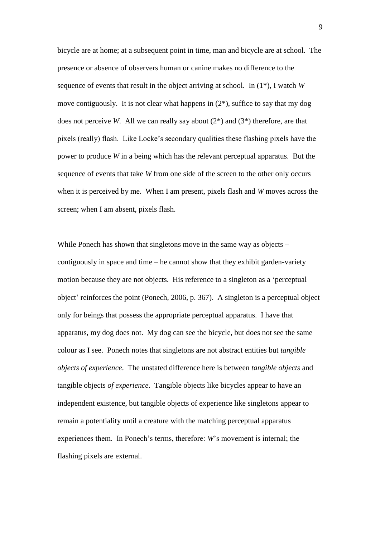bicycle are at home; at a subsequent point in time, man and bicycle are at school. The presence or absence of observers human or canine makes no difference to the sequence of events that result in the object arriving at school. In (1\*), I watch *W* move contiguously. It is not clear what happens in (2\*), suffice to say that my dog does not perceive *W*. All we can really say about (2\*) and (3\*) therefore, are that pixels (really) flash. Like Locke's secondary qualities these flashing pixels have the power to produce *W* in a being which has the relevant perceptual apparatus. But the sequence of events that take *W* from one side of the screen to the other only occurs when it is perceived by me. When I am present, pixels flash and *W* moves across the screen; when I am absent, pixels flash.

While Ponech has shown that singletons move in the same way as objects – contiguously in space and time – he cannot show that they exhibit garden-variety motion because they are not objects. His reference to a singleton as a 'perceptual object' reinforces the point (Ponech, 2006, p. 367). A singleton is a perceptual object only for beings that possess the appropriate perceptual apparatus. I have that apparatus, my dog does not. My dog can see the bicycle, but does not see the same colour as I see. Ponech notes that singletons are not abstract entities but *tangible objects of experience*. The unstated difference here is between *tangible objects* and tangible objects *of experience*. Tangible objects like bicycles appear to have an independent existence, but tangible objects of experience like singletons appear to remain a potentiality until a creature with the matching perceptual apparatus experiences them. In Ponech's terms, therefore: *W*'s movement is internal; the flashing pixels are external.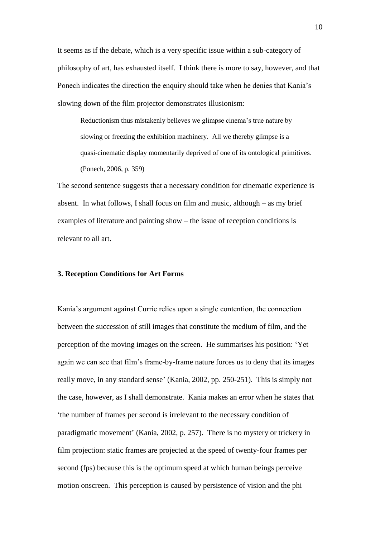It seems as if the debate, which is a very specific issue within a sub-category of philosophy of art, has exhausted itself. I think there is more to say, however, and that Ponech indicates the direction the enquiry should take when he denies that Kania's slowing down of the film projector demonstrates illusionism:

Reductionism thus mistakenly believes we glimpse cinema's true nature by slowing or freezing the exhibition machinery. All we thereby glimpse is a quasi-cinematic display momentarily deprived of one of its ontological primitives. (Ponech, 2006, p. 359)

The second sentence suggests that a necessary condition for cinematic experience is absent. In what follows, I shall focus on film and music, although – as my brief examples of literature and painting show – the issue of reception conditions is relevant to all art.

#### **3. Reception Conditions for Art Forms**

Kania's argument against Currie relies upon a single contention, the connection between the succession of still images that constitute the medium of film, and the perception of the moving images on the screen. He summarises his position: 'Yet again we can see that film's frame-by-frame nature forces us to deny that its images really move, in any standard sense' (Kania, 2002, pp. 250-251). This is simply not the case, however, as I shall demonstrate. Kania makes an error when he states that 'the number of frames per second is irrelevant to the necessary condition of paradigmatic movement' (Kania, 2002, p. 257). There is no mystery or trickery in film projection: static frames are projected at the speed of twenty-four frames per second (fps) because this is the optimum speed at which human beings perceive motion onscreen. This perception is caused by persistence of vision and the phi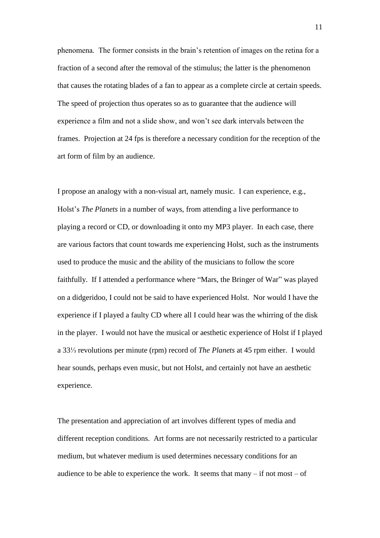phenomena. The former consists in the brain's retention of images on the retina for a fraction of a second after the removal of the stimulus; the latter is the phenomenon that causes the rotating blades of a fan to appear as a complete circle at certain speeds. The speed of projection thus operates so as to guarantee that the audience will experience a film and not a slide show, and won't see dark intervals between the frames. Projection at 24 fps is therefore a necessary condition for the reception of the art form of film by an audience.

I propose an analogy with a non-visual art, namely music. I can experience, e.g., Holst's *The Planets* in a number of ways, from attending a live performance to playing a record or CD, or downloading it onto my MP3 player. In each case, there are various factors that count towards me experiencing Holst, such as the instruments used to produce the music and the ability of the musicians to follow the score faithfully. If I attended a performance where "Mars, the Bringer of War" was played on a didgeridoo, I could not be said to have experienced Holst. Nor would I have the experience if I played a faulty CD where all I could hear was the whirring of the disk in the player. I would not have the musical or aesthetic experience of Holst if I played a 33⅓ revolutions per minute (rpm) record of *The Planets* at 45 rpm either. I would hear sounds, perhaps even music, but not Holst, and certainly not have an aesthetic experience.

The presentation and appreciation of art involves different types of media and different reception conditions. Art forms are not necessarily restricted to a particular medium, but whatever medium is used determines necessary conditions for an audience to be able to experience the work. It seems that  $manv - if$  not most – of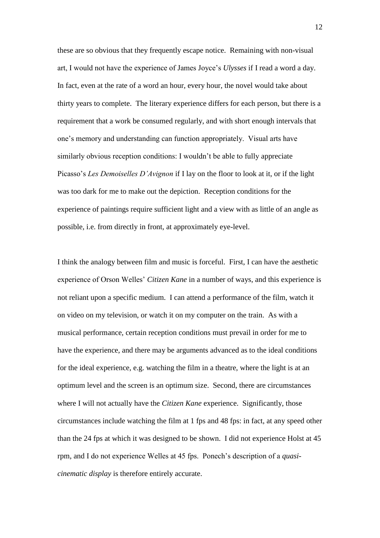these are so obvious that they frequently escape notice. Remaining with non-visual art, I would not have the experience of James Joyce's *Ulysses* if I read a word a day. In fact, even at the rate of a word an hour, every hour, the novel would take about thirty years to complete. The literary experience differs for each person, but there is a requirement that a work be consumed regularly, and with short enough intervals that one's memory and understanding can function appropriately. Visual arts have similarly obvious reception conditions: I wouldn't be able to fully appreciate Picasso's *Les Demoiselles D'Avignon* if I lay on the floor to look at it, or if the light was too dark for me to make out the depiction. Reception conditions for the experience of paintings require sufficient light and a view with as little of an angle as possible, i.e. from directly in front, at approximately eye-level.

I think the analogy between film and music is forceful. First, I can have the aesthetic experience of Orson Welles' *Citizen Kane* in a number of ways, and this experience is not reliant upon a specific medium. I can attend a performance of the film, watch it on video on my television, or watch it on my computer on the train. As with a musical performance, certain reception conditions must prevail in order for me to have the experience, and there may be arguments advanced as to the ideal conditions for the ideal experience, e.g. watching the film in a theatre, where the light is at an optimum level and the screen is an optimum size. Second, there are circumstances where I will not actually have the *Citizen Kane* experience. Significantly, those circumstances include watching the film at 1 fps and 48 fps: in fact, at any speed other than the 24 fps at which it was designed to be shown. I did not experience Holst at 45 rpm, and I do not experience Welles at 45 fps. Ponech's description of a *quasicinematic display* is therefore entirely accurate.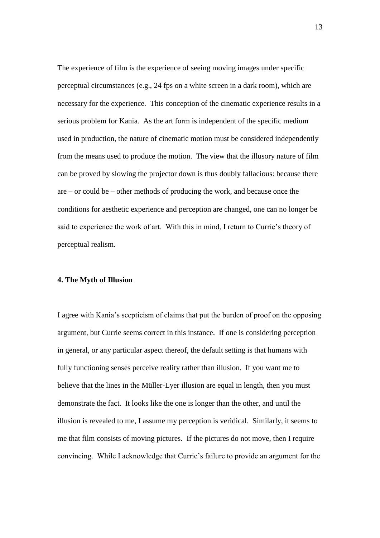The experience of film is the experience of seeing moving images under specific perceptual circumstances (e.g., 24 fps on a white screen in a dark room), which are necessary for the experience. This conception of the cinematic experience results in a serious problem for Kania. As the art form is independent of the specific medium used in production, the nature of cinematic motion must be considered independently from the means used to produce the motion. The view that the illusory nature of film can be proved by slowing the projector down is thus doubly fallacious: because there are – or could be – other methods of producing the work, and because once the conditions for aesthetic experience and perception are changed, one can no longer be said to experience the work of art. With this in mind, I return to Currie's theory of perceptual realism.

### **4. The Myth of Illusion**

I agree with Kania's scepticism of claims that put the burden of proof on the opposing argument, but Currie seems correct in this instance. If one is considering perception in general, or any particular aspect thereof, the default setting is that humans with fully functioning senses perceive reality rather than illusion. If you want me to believe that the lines in the Müller-Lyer illusion are equal in length, then you must demonstrate the fact. It looks like the one is longer than the other, and until the illusion is revealed to me, I assume my perception is veridical. Similarly, it seems to me that film consists of moving pictures. If the pictures do not move, then I require convincing. While I acknowledge that Currie's failure to provide an argument for the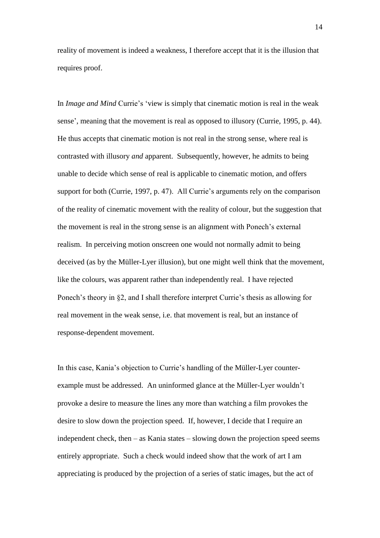reality of movement is indeed a weakness, I therefore accept that it is the illusion that requires proof.

In *Image and Mind* Currie's 'view is simply that cinematic motion is real in the weak sense', meaning that the movement is real as opposed to illusory (Currie, 1995, p. 44). He thus accepts that cinematic motion is not real in the strong sense, where real is contrasted with illusory *and* apparent. Subsequently, however, he admits to being unable to decide which sense of real is applicable to cinematic motion, and offers support for both (Currie, 1997, p. 47). All Currie's arguments rely on the comparison of the reality of cinematic movement with the reality of colour, but the suggestion that the movement is real in the strong sense is an alignment with Ponech's external realism. In perceiving motion onscreen one would not normally admit to being deceived (as by the Müller-Lyer illusion), but one might well think that the movement, like the colours, was apparent rather than independently real. I have rejected Ponech's theory in §2, and I shall therefore interpret Currie's thesis as allowing for real movement in the weak sense, i.e. that movement is real, but an instance of response-dependent movement.

In this case, Kania's objection to Currie's handling of the Müller-Lyer counterexample must be addressed. An uninformed glance at the Müller-Lyer wouldn't provoke a desire to measure the lines any more than watching a film provokes the desire to slow down the projection speed. If, however, I decide that I require an independent check, then – as Kania states – slowing down the projection speed seems entirely appropriate. Such a check would indeed show that the work of art I am appreciating is produced by the projection of a series of static images, but the act of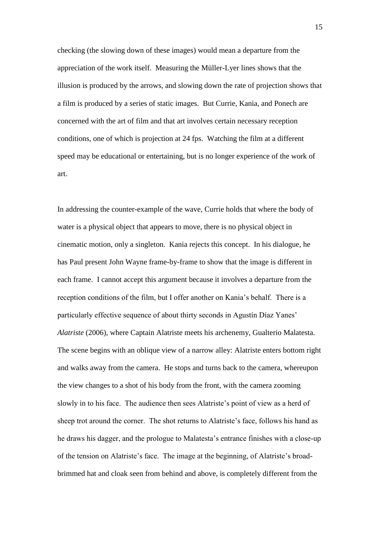checking (the slowing down of these images) would mean a departure from the appreciation of the work itself. Measuring the Müller-Lyer lines shows that the illusion is produced by the arrows, and slowing down the rate of projection shows that a film is produced by a series of static images. But Currie, Kania, and Ponech are concerned with the art of film and that art involves certain necessary reception conditions, one of which is projection at 24 fps. Watching the film at a different speed may be educational or entertaining, but is no longer experience of the work of art.

In addressing the counter-example of the wave, Currie holds that where the body of water is a physical object that appears to move, there is no physical object in cinematic motion, only a singleton. Kania rejects this concept. In his dialogue, he has Paul present John Wayne frame-by-frame to show that the image is different in each frame. I cannot accept this argument because it involves a departure from the reception conditions of the film, but I offer another on Kania's behalf. There is a particularly effective sequence of about thirty seconds in Agustín Díaz Yanes' *Alatriste* (2006), where Captain Alatriste meets his archenemy, Gualterio Malatesta. The scene begins with an oblique view of a narrow alley: Alatriste enters bottom right and walks away from the camera. He stops and turns back to the camera, whereupon the view changes to a shot of his body from the front, with the camera zooming slowly in to his face. The audience then sees Alatriste's point of view as a herd of sheep trot around the corner. The shot returns to Alatriste's face, follows his hand as he draws his dagger, and the prologue to Malatesta's entrance finishes with a close-up of the tension on Alatriste's face. The image at the beginning, of Alatriste's broadbrimmed hat and cloak seen from behind and above, is completely different from the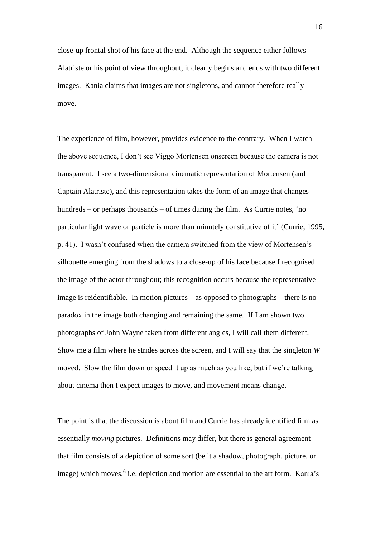close-up frontal shot of his face at the end. Although the sequence either follows Alatriste or his point of view throughout, it clearly begins and ends with two different images. Kania claims that images are not singletons, and cannot therefore really move.

The experience of film, however, provides evidence to the contrary. When I watch the above sequence, I don't see Viggo Mortensen onscreen because the camera is not transparent. I see a two-dimensional cinematic representation of Mortensen (and Captain Alatriste), and this representation takes the form of an image that changes hundreds – or perhaps thousands – of times during the film. As Currie notes, 'no particular light wave or particle is more than minutely constitutive of it' (Currie, 1995, p. 41). I wasn't confused when the camera switched from the view of Mortensen's silhouette emerging from the shadows to a close-up of his face because I recognised the image of the actor throughout; this recognition occurs because the representative image is reidentifiable. In motion pictures – as opposed to photographs – there is no paradox in the image both changing and remaining the same. If I am shown two photographs of John Wayne taken from different angles, I will call them different. Show me a film where he strides across the screen, and I will say that the singleton *W* moved. Slow the film down or speed it up as much as you like, but if we're talking about cinema then I expect images to move, and movement means change.

The point is that the discussion is about film and Currie has already identified film as essentially *moving* pictures. Definitions may differ, but there is general agreement that film consists of a depiction of some sort (be it a shadow, photograph, picture, or image) which moves,<sup>6</sup> i.e. depiction and motion are essential to the art form. Kania's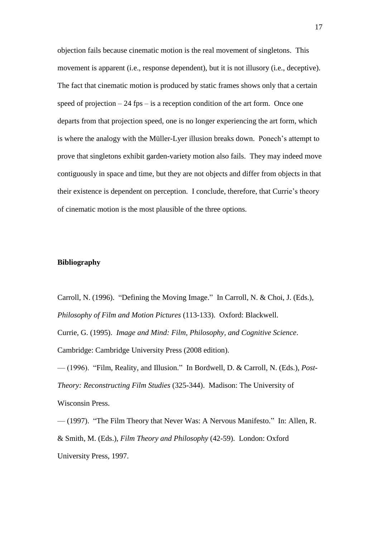objection fails because cinematic motion is the real movement of singletons. This movement is apparent (i.e., response dependent), but it is not illusory (i.e., deceptive). The fact that cinematic motion is produced by static frames shows only that a certain speed of projection  $-24$  fps  $-$  is a reception condition of the art form. Once one departs from that projection speed, one is no longer experiencing the art form, which is where the analogy with the Müller-Lyer illusion breaks down. Ponech's attempt to prove that singletons exhibit garden-variety motion also fails. They may indeed move contiguously in space and time, but they are not objects and differ from objects in that their existence is dependent on perception. I conclude, therefore, that Currie's theory of cinematic motion is the most plausible of the three options.

# **Bibliography**

Carroll, N. (1996). "Defining the Moving Image." In Carroll, N. & Choi, J. (Eds.), *Philosophy of Film and Motion Pictures* (113-133). Oxford: Blackwell. Currie, G. (1995). *Image and Mind: Film, Philosophy, and Cognitive Science*. Cambridge: Cambridge University Press (2008 edition).

— (1996). "Film, Reality, and Illusion." In Bordwell, D. & Carroll, N. (Eds.), *Post-Theory: Reconstructing Film Studies* (325-344). Madison: The University of Wisconsin Press.

— (1997). "The Film Theory that Never Was: A Nervous Manifesto." In: Allen, R. & Smith, M. (Eds.), *Film Theory and Philosophy* (42-59). London: Oxford University Press, 1997.